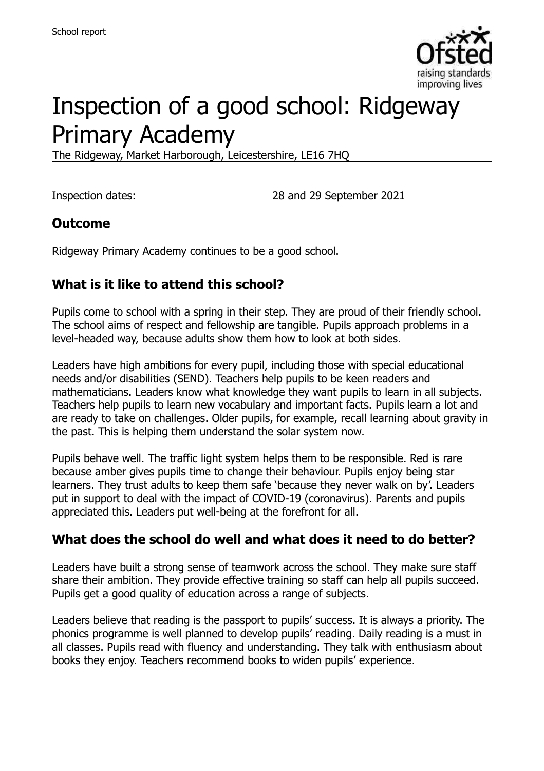

# Inspection of a good school: Ridgeway Primary Academy

The Ridgeway, Market Harborough, Leicestershire, LE16 7HQ

Inspection dates: 28 and 29 September 2021

## **Outcome**

Ridgeway Primary Academy continues to be a good school.

## **What is it like to attend this school?**

Pupils come to school with a spring in their step. They are proud of their friendly school. The school aims of respect and fellowship are tangible. Pupils approach problems in a level-headed way, because adults show them how to look at both sides.

Leaders have high ambitions for every pupil, including those with special educational needs and/or disabilities (SEND). Teachers help pupils to be keen readers and mathematicians. Leaders know what knowledge they want pupils to learn in all subjects. Teachers help pupils to learn new vocabulary and important facts. Pupils learn a lot and are ready to take on challenges. Older pupils, for example, recall learning about gravity in the past. This is helping them understand the solar system now.

Pupils behave well. The traffic light system helps them to be responsible. Red is rare because amber gives pupils time to change their behaviour. Pupils enjoy being star learners. They trust adults to keep them safe 'because they never walk on by'. Leaders put in support to deal with the impact of COVID-19 (coronavirus). Parents and pupils appreciated this. Leaders put well-being at the forefront for all.

## **What does the school do well and what does it need to do better?**

Leaders have built a strong sense of teamwork across the school. They make sure staff share their ambition. They provide effective training so staff can help all pupils succeed. Pupils get a good quality of education across a range of subjects.

Leaders believe that reading is the passport to pupils' success. It is always a priority. The phonics programme is well planned to develop pupils' reading. Daily reading is a must in all classes. Pupils read with fluency and understanding. They talk with enthusiasm about books they enjoy. Teachers recommend books to widen pupils' experience.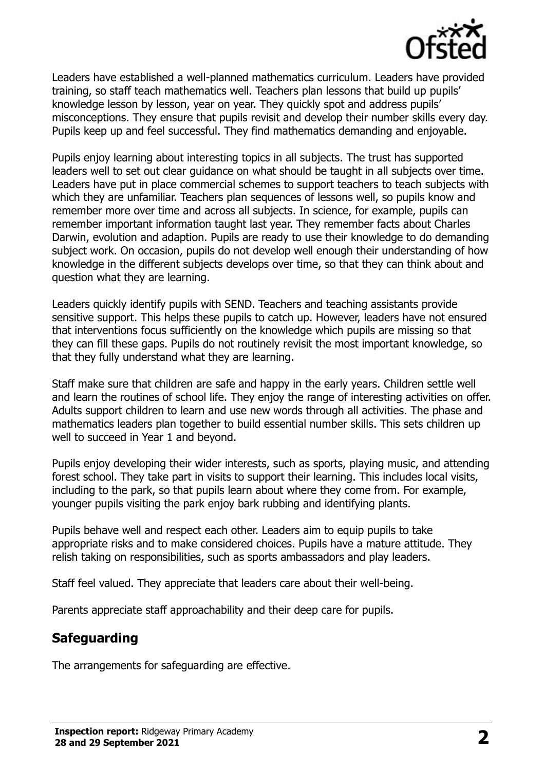

Leaders have established a well-planned mathematics curriculum. Leaders have provided training, so staff teach mathematics well. Teachers plan lessons that build up pupils' knowledge lesson by lesson, year on year. They quickly spot and address pupils' misconceptions. They ensure that pupils revisit and develop their number skills every day. Pupils keep up and feel successful. They find mathematics demanding and enjoyable.

Pupils enjoy learning about interesting topics in all subjects. The trust has supported leaders well to set out clear guidance on what should be taught in all subjects over time. Leaders have put in place commercial schemes to support teachers to teach subjects with which they are unfamiliar. Teachers plan sequences of lessons well, so pupils know and remember more over time and across all subjects. In science, for example, pupils can remember important information taught last year. They remember facts about Charles Darwin, evolution and adaption. Pupils are ready to use their knowledge to do demanding subject work. On occasion, pupils do not develop well enough their understanding of how knowledge in the different subjects develops over time, so that they can think about and question what they are learning.

Leaders quickly identify pupils with SEND. Teachers and teaching assistants provide sensitive support. This helps these pupils to catch up. However, leaders have not ensured that interventions focus sufficiently on the knowledge which pupils are missing so that they can fill these gaps. Pupils do not routinely revisit the most important knowledge, so that they fully understand what they are learning.

Staff make sure that children are safe and happy in the early years. Children settle well and learn the routines of school life. They enjoy the range of interesting activities on offer. Adults support children to learn and use new words through all activities. The phase and mathematics leaders plan together to build essential number skills. This sets children up well to succeed in Year 1 and beyond.

Pupils enjoy developing their wider interests, such as sports, playing music, and attending forest school. They take part in visits to support their learning. This includes local visits, including to the park, so that pupils learn about where they come from. For example, younger pupils visiting the park enjoy bark rubbing and identifying plants.

Pupils behave well and respect each other. Leaders aim to equip pupils to take appropriate risks and to make considered choices. Pupils have a mature attitude. They relish taking on responsibilities, such as sports ambassadors and play leaders.

Staff feel valued. They appreciate that leaders care about their well-being.

Parents appreciate staff approachability and their deep care for pupils.

## **Safeguarding**

The arrangements for safeguarding are effective.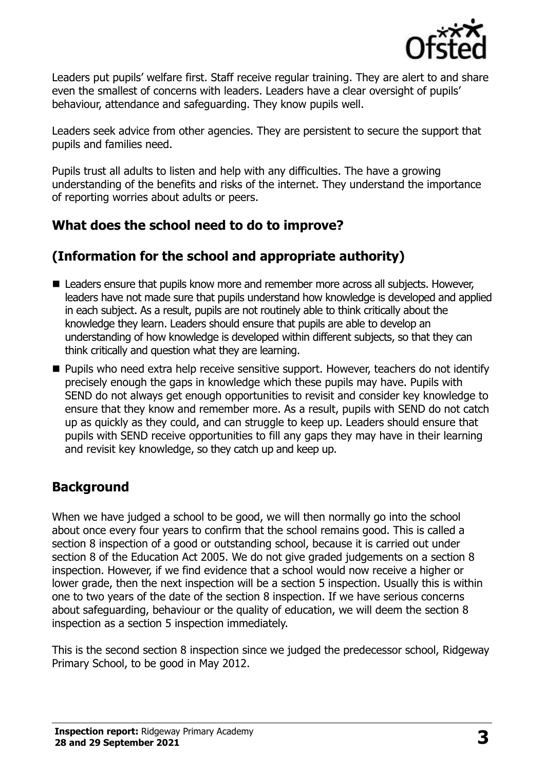

Leaders put pupils' welfare first. Staff receive regular training. They are alert to and share even the smallest of concerns with leaders. Leaders have a clear oversight of pupils' behaviour, attendance and safeguarding. They know pupils well.

Leaders seek advice from other agencies. They are persistent to secure the support that pupils and families need.

Pupils trust all adults to listen and help with any difficulties. The have a growing understanding of the benefits and risks of the internet. They understand the importance of reporting worries about adults or peers.

## **What does the school need to do to improve?**

## **(Information for the school and appropriate authority)**

- Leaders ensure that pupils know more and remember more across all subjects. However, leaders have not made sure that pupils understand how knowledge is developed and applied in each subject. As a result, pupils are not routinely able to think critically about the knowledge they learn. Leaders should ensure that pupils are able to develop an understanding of how knowledge is developed within different subjects, so that they can think critically and question what they are learning.
- Pupils who need extra help receive sensitive support. However, teachers do not identify precisely enough the gaps in knowledge which these pupils may have. Pupils with SEND do not always get enough opportunities to revisit and consider key knowledge to ensure that they know and remember more. As a result, pupils with SEND do not catch up as quickly as they could, and can struggle to keep up. Leaders should ensure that pupils with SEND receive opportunities to fill any gaps they may have in their learning and revisit key knowledge, so they catch up and keep up.

## **Background**

When we have judged a school to be good, we will then normally go into the school about once every four years to confirm that the school remains good. This is called a section 8 inspection of a good or outstanding school, because it is carried out under section 8 of the Education Act 2005. We do not give graded judgements on a section 8 inspection. However, if we find evidence that a school would now receive a higher or lower grade, then the next inspection will be a section 5 inspection. Usually this is within one to two years of the date of the section 8 inspection. If we have serious concerns about safeguarding, behaviour or the quality of education, we will deem the section 8 inspection as a section 5 inspection immediately.

This is the second section 8 inspection since we judged the predecessor school, Ridgeway Primary School, to be good in May 2012.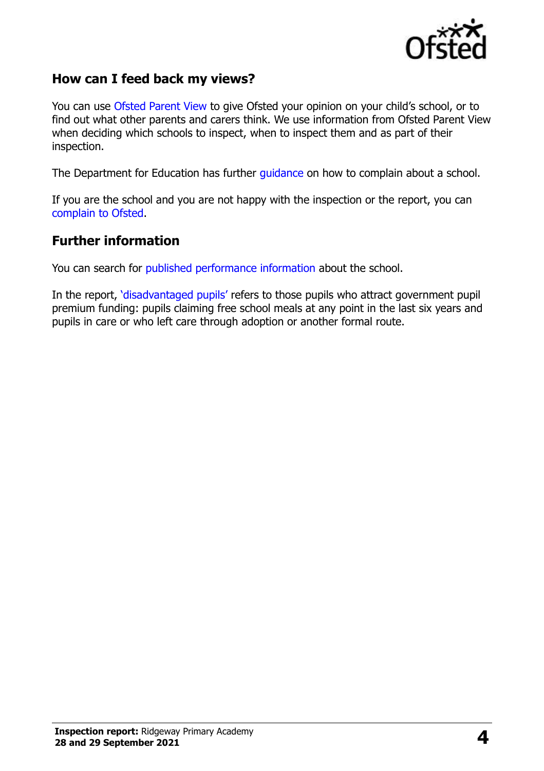

## **How can I feed back my views?**

You can use [Ofsted Parent View](https://parentview.ofsted.gov.uk/) to give Ofsted your opinion on your child's school, or to find out what other parents and carers think. We use information from Ofsted Parent View when deciding which schools to inspect, when to inspect them and as part of their inspection.

The Department for Education has further [guidance](http://www.gov.uk/complain-about-school) on how to complain about a school.

If you are the school and you are not happy with the inspection or the report, you can [complain to Ofsted.](https://www.gov.uk/complain-ofsted-report)

#### **Further information**

You can search for [published performance information](http://www.compare-school-performance.service.gov.uk/) about the school.

In the report, '[disadvantaged pupils](http://www.gov.uk/guidance/pupil-premium-information-for-schools-and-alternative-provision-settings)' refers to those pupils who attract government pupil premium funding: pupils claiming free school meals at any point in the last six years and pupils in care or who left care through adoption or another formal route.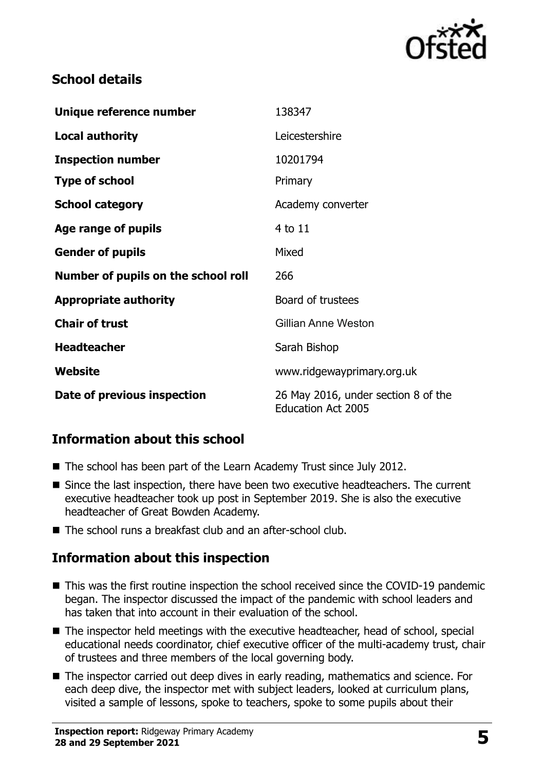

## **School details**

| Unique reference number             | 138347                                                           |
|-------------------------------------|------------------------------------------------------------------|
| <b>Local authority</b>              | Leicestershire                                                   |
| <b>Inspection number</b>            | 10201794                                                         |
| <b>Type of school</b>               | Primary                                                          |
| <b>School category</b>              | Academy converter                                                |
| Age range of pupils                 | 4 to 11                                                          |
| <b>Gender of pupils</b>             | Mixed                                                            |
| Number of pupils on the school roll | 266                                                              |
| <b>Appropriate authority</b>        | Board of trustees                                                |
| <b>Chair of trust</b>               | Gillian Anne Weston                                              |
| <b>Headteacher</b>                  | Sarah Bishop                                                     |
| Website                             | www.ridgewayprimary.org.uk                                       |
| Date of previous inspection         | 26 May 2016, under section 8 of the<br><b>Education Act 2005</b> |

## **Information about this school**

- The school has been part of the Learn Academy Trust since July 2012.
- Since the last inspection, there have been two executive headteachers. The current executive headteacher took up post in September 2019. She is also the executive headteacher of Great Bowden Academy.
- The school runs a breakfast club and an after-school club.

## **Information about this inspection**

- This was the first routine inspection the school received since the COVID-19 pandemic began. The inspector discussed the impact of the pandemic with school leaders and has taken that into account in their evaluation of the school.
- The inspector held meetings with the executive headteacher, head of school, special educational needs coordinator, chief executive officer of the multi-academy trust, chair of trustees and three members of the local governing body.
- The inspector carried out deep dives in early reading, mathematics and science. For each deep dive, the inspector met with subject leaders, looked at curriculum plans, visited a sample of lessons, spoke to teachers, spoke to some pupils about their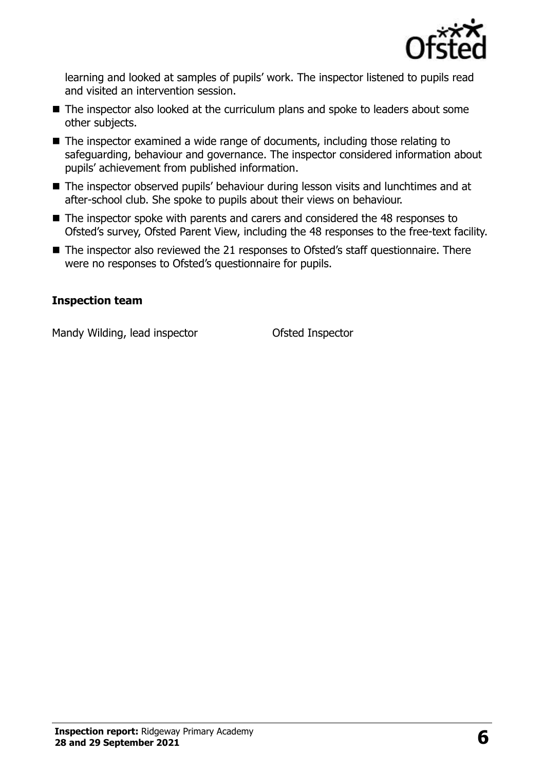

learning and looked at samples of pupils' work. The inspector listened to pupils read and visited an intervention session.

- The inspector also looked at the curriculum plans and spoke to leaders about some other subjects.
- The inspector examined a wide range of documents, including those relating to safeguarding, behaviour and governance. The inspector considered information about pupils' achievement from published information.
- The inspector observed pupils' behaviour during lesson visits and lunchtimes and at after-school club. She spoke to pupils about their views on behaviour.
- The inspector spoke with parents and carers and considered the 48 responses to Ofsted's survey, Ofsted Parent View, including the 48 responses to the free-text facility.
- The inspector also reviewed the 21 responses to Ofsted's staff questionnaire. There were no responses to Ofsted's questionnaire for pupils.

#### **Inspection team**

Mandy Wilding, lead inspector **Conservation Conservation** Ofsted Inspector